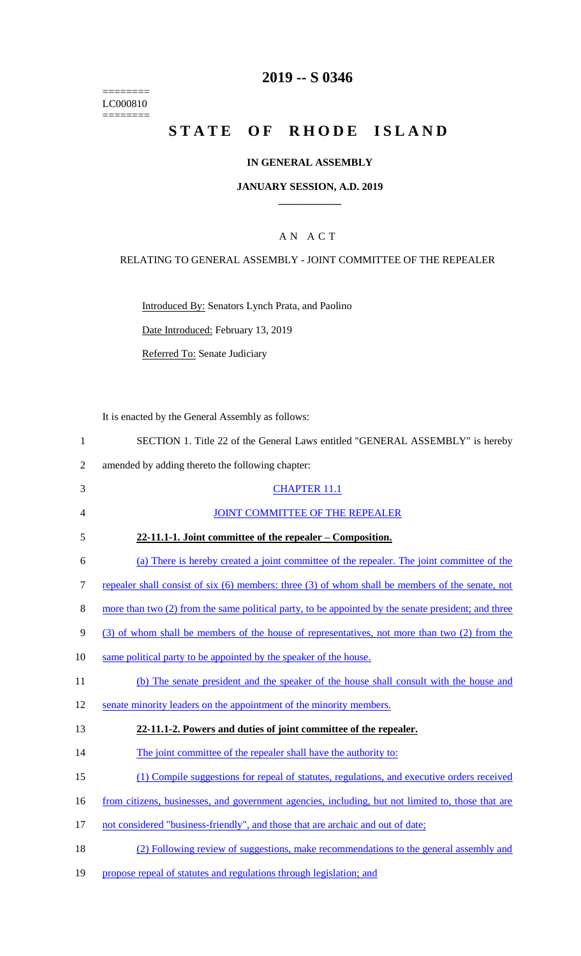======== LC000810  $=$ 

# **2019 -- S 0346**

# **STATE OF RHODE ISLAND**

## **IN GENERAL ASSEMBLY**

#### **JANUARY SESSION, A.D. 2019 \_\_\_\_\_\_\_\_\_\_\_\_**

#### A N A C T

#### RELATING TO GENERAL ASSEMBLY - JOINT COMMITTEE OF THE REPEALER

Introduced By: Senators Lynch Prata, and Paolino

Date Introduced: February 13, 2019

Referred To: Senate Judiciary

It is enacted by the General Assembly as follows:

| SECTION 1. Title 22 of the General Laws entitled "GENERAL ASSEMBLY" is hereby |
|-------------------------------------------------------------------------------|
|-------------------------------------------------------------------------------|

2 amended by adding thereto the following chapter:

| 3              | <b>CHAPTER 11.1</b>                                                                                 |
|----------------|-----------------------------------------------------------------------------------------------------|
| $\overline{4}$ | <b>JOINT COMMITTEE OF THE REPEALER</b>                                                              |
| 5              | 22-11.1-1. Joint committee of the repealer – Composition.                                           |
| 6              | (a) There is hereby created a joint committee of the repealer. The joint committee of the           |
| 7              | repealer shall consist of six (6) members: three (3) of whom shall be members of the senate, not    |
| 8              | more than two (2) from the same political party, to be appointed by the senate president; and three |
| 9              | (3) of whom shall be members of the house of representatives, not more than two (2) from the        |
| 10             | same political party to be appointed by the speaker of the house.                                   |
| 11             | (b) The senate president and the speaker of the house shall consult with the house and              |
| 12             | senate minority leaders on the appointment of the minority members.                                 |
| 13             | 22-11.1-2. Powers and duties of joint committee of the repealer.                                    |
| 14             | The joint committee of the repealer shall have the authority to:                                    |
| 15             | (1) Compile suggestions for repeal of statutes, regulations, and executive orders received          |
| 16             | from citizens, businesses, and government agencies, including, but not limited to, those that are   |
| 17             | not considered "business-friendly", and those that are archaic and out of date;                     |
|                |                                                                                                     |

- 18 (2) Following review of suggestions, make recommendations to the general assembly and
- 19 propose repeal of statutes and regulations through legislation; and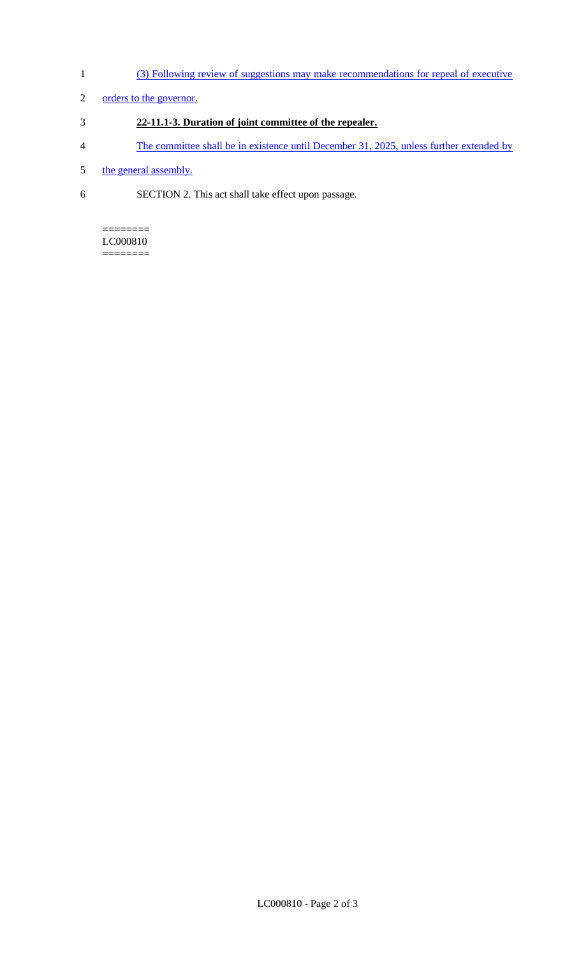- 1 (3) Following review of suggestions may make recommendations for repeal of executive
- 2 orders to the governor.
- 3 **22-11.1-3. Duration of joint committee of the repealer.**
- 4 The committee shall be in existence until December 31, 2025, unless further extended by
- 5 the general assembly.
- 6 SECTION 2. This act shall take effect upon passage.

#### ======== LC000810

========